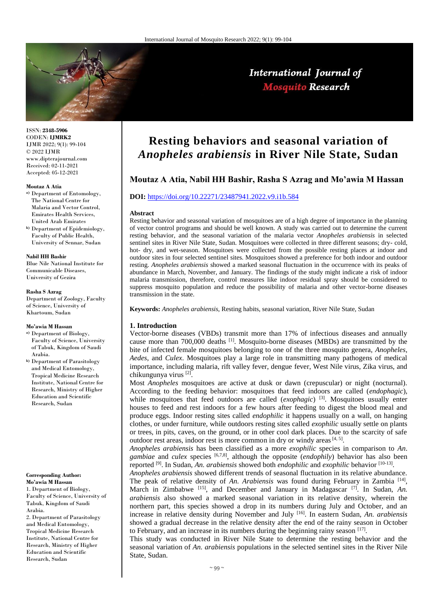

ISSN: **2348-5906** CODEN: **IJMRK2** IJMR 2022; 9(1): 99-104 © 2022 IJMR www.dipterajournal.com Received: 02-11-2021 Accepted: 05-12-2021

#### **Moutaz A Atia**

- **a)** Department of Entomology, The National Centre for Malaria and Vector Control, Emirates Health Services, United Arab Emirates
- **b)** Department of Epidemiology, Faculty of Public Health, University of Sennar, Sudan

#### **Nabil HH Bashir**

Blue Nile National Institute for Communicable Diseases, University of Gezira

#### **Rasha S Azrag**

Department of Zoology, Faculty of Science, University of Khartoum, Sudan

#### **Mo'awia M Hassan**

- **a)** Department of Biology, Faculty of Science, University of Tabuk, Kingdom of Saudi Arabia.
- **b)** Department of Parasitology and Medical Entomology, Tropical Medicine Research Institute, National Centre for Research, Ministry of Higher Education and Scientific Research, Sudan

# **Corresponding Author:**

**Mo'awia M Hassan** 1. Department of Biology, Faculty of Science, University of Tabuk, Kingdom of Saudi Arabia. 2. Department of Parasitology and Medical Entomology, Tropical Medicine Research Institute, National Centre for Research, Ministry of Higher Education and Scientific Research, Sudan

# **Resting behaviors and seasonal variation of**  *Anopheles arabiensis* **in River Nile State, Sudan**

# **Moutaz A Atia, Nabil HH Bashir, Rasha S Azrag and Mo'awia M Hassan**

# **DOI:** <https://doi.org/10.22271/23487941.2022.v9.i1b.584>

#### **Abstract**

Resting behavior and seasonal variation of mosquitoes are of a high degree of importance in the planning of vector control programs and should be well known. A study was carried out to determine the current resting behavior, and the seasonal variation of the malaria vector *Anopheles arabiensis* in selected sentinel sites in River Nile State, Sudan. Mosquitoes were collected in three different seasons; dry- cold, hot- dry, and wet-season. Mosquitoes were collected from the possible resting places at indoor and outdoor sites in four selected sentinel sites. Mosquitoes showed a preference for both indoor and outdoor resting. *Anopheles arabiensis* showed a marked seasonal fluctuation in the occurrence with its peaks of abundance in March, November, and January. The findings of the study might indicate a risk of indoor malaria transmission, therefore, control measures like indoor residual spray should be considered to suppress mosquito population and reduce the possibility of malaria and other vector-borne diseases transmission in the state.

**Keywords:** *Anopheles arabiensis,* Resting habits, seasonal variation, River Nile State, Sudan

## **1. Introduction**

Vector-borne diseases (VBDs) transmit more than 17% of infectious diseases and annually cause more than 700,000 deaths  $\left[1\right]$ . Mosquito-borne diseases (MBDs) are transmitted by the bite of infected female mosquitoes belonging to one of the three mosquito genera, *Anopheles*, *Aedes*, and *Culex*. Mosquitoes play a large role in transmitting many pathogens of medical importance, including malaria, rift valley fever, dengue fever, West Nile virus, Zika virus, and chikungunya virus<sup>[2]</sup>.

Most *Anopheles* mosquitoes are active at dusk or dawn (crepuscular) or night (nocturnal). According to the feeding behavior: mosquitoes that feed indoors are called (*endophagic*), while mosquitoes that feed outdoors are called (*exophagic*) <sup>[3]</sup>. Mosquitoes usually enter houses to feed and rest indoors for a few hours after feeding to digest the blood meal and produce eggs. Indoor resting sites called *endophilic* it happens usually on a wall, on hanging clothes, or under furniture, while outdoors resting sites called *exophilic* usually settle on plants or trees, in pits, caves, on the ground, or in other cool dark places. Due to the scarcity of safe outdoor rest areas, indoor rest is more common in dry or windy areas  $[4, 5]$ .

*Anopheles arabiensis* has been classified as a more *exophilic* species in comparison to *An*. *gambiae* and *culex* species [6,7,8], although the opposite (*endophily*) behavior has also been reported [9]. In Sudan, *An. arabiensis* showed both *endophilic* and *exophilic* behavior [10-13] .

*Anopheles arabiensis* showed different trends of seasonal fluctuation in its relative abundance. The peak of relative density of An. Arabiensis was found during February in Zambia <sup>[14]</sup>, March in Zimbabwe <sup>[15]</sup>, and December and January in Madagascar <sup>[7]</sup>. In Sudan, *An. arabiensis* also showed a marked seasonal variation in its relative density, wherein the northern part, this species showed a drop in its numbers during July and October, and an increase in relative density during November and July [16] . In eastern Sudan, *An. arabiensis* showed a gradual decrease in the relative density after the end of the rainy season in October to February, and an increase in its numbers during the beginning rainy season [17].

This study was conducted in River Nile State to determine the resting behavior and the seasonal variation of *An. arabiensis* populations in the selected sentinel sites in the River Nile State, Sudan.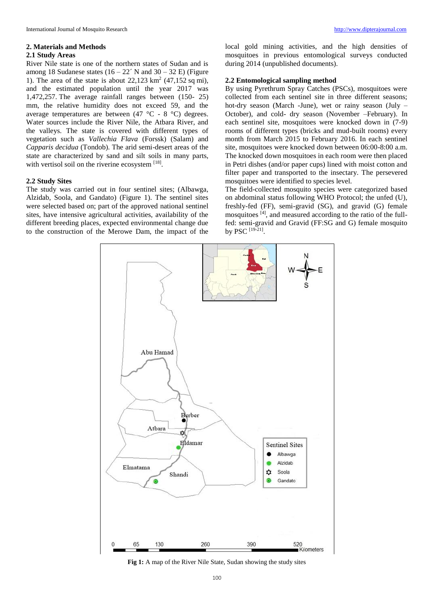#### **2. Materials and Methods**

## **2.1 Study Areas**

River Nile state is one of the northern states of Sudan and is among 18 Sudanese states  $(16 - 22)$ <sup> $\prime$ </sup> N and 30 – 32 E) (Figure 1). The area of the state is about  $22,123 \text{ km}^2$  (47,152 sq mi), and the estimated population until the year 2017 was 1,472,257. The average rainfall ranges between (150- 25) mm, the relative humidity does not exceed 59, and the average temperatures are between (47 °C - 8 °C) degrees. Water sources include the River Nile, the Atbara River, and the valleys. The state is covered with different types of vegetation such as *Vallechia Flava* (Forssk) (Salam) and *Capparis decidua* (Tondob). The arid semi-desert areas of the state are characterized by sand and silt soils in many parts, with vertisol soil on the riverine ecosystem  $[18]$ .

## **2.2 Study Sites**

The study was carried out in four sentinel sites; (Albawga, Alzidab, Soola, and Gandato) (Figure 1). The sentinel sites were selected based on; part of the approved national sentinel sites, have intensive agricultural activities, availability of the different breeding places, expected environmental change due to the construction of the Merowe Dam, the impact of the local gold mining activities, and the high densities of mosquitoes in previous entomological surveys conducted during 2014 (unpublished documents).

### **2.2 Entomological sampling method**

By using Pyrethrum Spray Catches (PSCs), mosquitoes were collected from each sentinel site in three different seasons; hot-dry season (March -June), wet or rainy season (July – October), and cold- dry season (November –February). In each sentinel site, mosquitoes were knocked down in (7-9) rooms of different types (bricks and mud-built rooms) every month from March 2015 to February 2016. In each sentinel site, mosquitoes were knocked down between 06:00-8:00 a.m. The knocked down mosquitoes in each room were then placed in Petri dishes (and/or paper cups) lined with moist cotton and filter paper and transported to the insectary. The persevered mosquitoes were identified to species level.

The field-collected mosquito species were categorized based on abdominal status following WHO Protocol; the unfed (U), freshly-fed (FF), semi-gravid (SG), and gravid (G) female mosquitoes [4], and measured according to the ratio of the fullfed: semi-gravid and Gravid (FF:SG and G) female mosquito by PSC [19-21] .



**Fig 1:** A map of the River Nile State, Sudan showing the study sites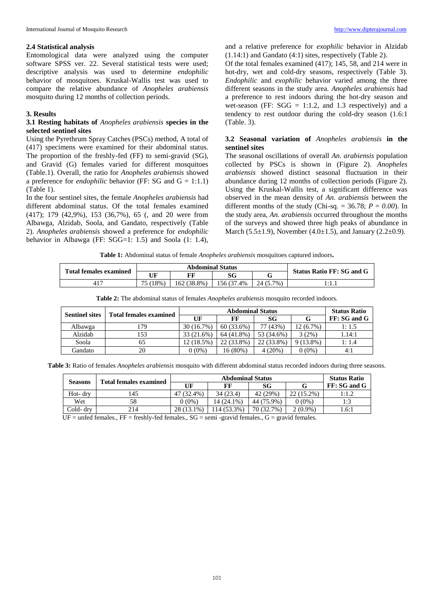Entomological data were analyzed using the computer software SPSS ver. 22. Several statistical tests were used; descriptive analysis was used to determine *endophilic* behavior of mosquitoes. Kruskal-Wallis test was used to compare the relative abundance of *Anopheles arabiensis* mosquito during 12 months of collection periods.

#### **3. Results**

# **3.1 Resting habitats of** *Anopheles arabiensis* **species in the selected sentinel sites**

Using the Pyrethrum Spray Catches (PSCs) method, A total of (417) specimens were examined for their abdominal status. The proportion of the freshly-fed (FF) to semi-gravid (SG), and Gravid (G) females varied for different mosquitoes (Table.1). Overall, the ratio for *Anopheles arabiensis* showed a preference for *endophilic* behavior (FF: SG and  $G = 1:1.1$ ) (Table 1).

In the four sentinel sites, the female *Anopheles arabiensis* had different abdominal status. Of the total females examined (417); 179 (42,9%), 153 (36,7%), 65 (, and 20 were from Albawga, Alzidab, Soola, and Gandato, respectively (Table 2). *Anopheles arabiensis* showed a preference for *endophilic* behavior in Albawga (FF: SGG=1: 1.5) and Soola (1: 1.4),

and a relative preference for *exophilic* behavior in Alzidab (1.14:1) and Gandato (4:1) sites, respectively (Table 2).

Of the total females examined (417); 145, 58, and 214 were in hot-dry, wet and cold-dry seasons, respectively (Table 3). *Endophilic* and *exophilic* behavior varied among the three different seasons in the study area. *Anopheles arabiensis* had a preference to rest indoors during the hot-dry season and wet-season (FF:  $SGG = 1:1.2$ , and 1.3 respectively) and a tendency to rest outdoor during the cold-dry season (1.6:1 (Table. 3).

# **3.2 Seasonal variation of** *Anopheles arabiensis* **in the sentinel sites**

The seasonal oscillations of overall *An. arabiensis* population collected by PSCs is shown in (Figure 2). *Anopheles arabiensis* showed distinct seasonal fluctuation in their abundance during 12 months of collection periods (Figure 2). Using the Kruskal-Wallis test, a significant difference was observed in the mean density of *An. arabiensis* between the different months of the study (Chi-sq.  $= 36.78$ ;  $P = 0.00$ ). In the study area, *An. arabiensis* occurred throughout the months of the surveys and showed three high peaks of abundance in March (5.5 $\pm$ 1.9), November (4.0 $\pm$ 1.5), and January (2.2 $\pm$ 0.9).

**Table 1:** Abdominal status of female *Anopheles arabiensis* mosquitoes captured indoors**.**

| <b>Total females examined</b> | <b>Abdominal Status</b> |            |            |           |                                  |  |
|-------------------------------|-------------------------|------------|------------|-----------|----------------------------------|--|
|                               | UF                      | FF         | SG         |           | <b>Status Ratio FF: SG and G</b> |  |
|                               | $18\%$                  | 162(38.8%) | 156 (37.4% | 24 (5.7%) |                                  |  |

| <b>Table 2.</b> The abdominal status of females <i>Anopheles drubbenses</i> mosquito recorded muoofs. |                               |                         |            |            |             |                     |  |
|-------------------------------------------------------------------------------------------------------|-------------------------------|-------------------------|------------|------------|-------------|---------------------|--|
| <b>Sentinel sites</b>                                                                                 | <b>Total females examined</b> | <b>Abdominal Status</b> |            |            |             | <b>Status Ratio</b> |  |
|                                                                                                       |                               | UF                      | FF         | <b>SG</b>  |             | FF: SG and G        |  |
| Albawga                                                                                               | . 79                          | 30(16.7%)               | 60 (33.6%) | 77 (43%)   | $12(6.7\%)$ | 1:1.5               |  |
| Alzidab                                                                                               | 153                           | 33 (21.6%)              | 64 (41.8%) | 53 (34.6%) | 3(2%)       | 1.14:1              |  |
| Soola                                                                                                 |                               | 12 (18.5%)              | 22 (33.8%) | 22 (33.8%) | $9(13.8\%)$ | 1: 1.4              |  |

**Table 2:** The abdominal status of females *Anopheles arabiensis* mosquito recorded indoors.

**Table 3:** Ratio of females *Anopheles arabiensis* mosquito with different abdominal status recorded indoors during three seasons.

Gandato  $\begin{array}{|c|c|c|c|c|c|c|c|c|} \hline \end{array}$  (0 (0  $\begin{array}{|c|c|c|c|c|c|c|c|} \hline \end{array}$  16 (80%)  $\begin{array}{|c|c|c|c|c|c|} \hline \end{array}$  4 (20%)  $\begin{array}{|c|c|c|c|c|c|c|} \hline \end{array}$  4:1

| <b>Seasons</b>           | <b>Total females examined</b>        | Abdominal Status |                 |            |                 | <b>Status Ratio</b> |
|--------------------------|--------------------------------------|------------------|-----------------|------------|-----------------|---------------------|
|                          |                                      | UF               | FF              | SG         |                 | FF: SG and G        |
| Hot- dry                 | 145                                  | 47 (32.4%)       | 34(23.4)        | 42 (29%)   | 22 (15.2%)      | 1:1.2               |
| Wet                      | 58                                   | 0%) (            | 14 (24.1%)      | 44 (75.9%) | $0(0\%)$        | 1:3                 |
| Cold- drv                | 214                                  | 28 (13.1%)       | 14 (53.3%)      | 70 (32.7%) | $2(0.9\%)$      | 1.6:1               |
| $T$ $T$<br>$\sim$ $\sim$ | $\cdots$<br>$\sim$<br>$\blacksquare$ | $\sim$ $\sim$    | $\cdot$ $\cdot$ | $\sim$     | $\cdot$ $\cdot$ |                     |

 $UF =$  unfed females.,  $FF =$  freshly-fed females.,  $SG =$  semi-gravid females.,  $G =$  gravid females.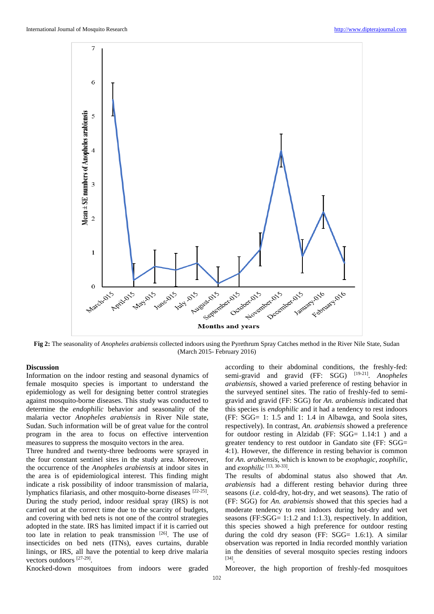

**Fig 2:** The seasonality of *Anopheles arabiensis* collected indoors using the Pyrethrum Spray Catches method in the River Nile State, Sudan (March 2015- February 2016)

# **Discussion**

Information on the indoor resting and seasonal dynamics of female mosquito species is important to understand the epidemiology as well for designing better control strategies against mosquito-borne diseases. This study was conducted to determine the *endophilic* behavior and seasonality of the malaria vector *Anopheles arabiensis* in River Nile state, Sudan. Such information will be of great value for the control program in the area to focus on effective intervention measures to suppress the mosquito vectors in the area.

Three hundred and twenty-three bedrooms were sprayed in the four constant sentinel sites in the study area. Moreover, the occurrence of the *Anopheles arabiensis* at indoor sites in the area is of epidemiological interest. This finding might indicate a risk possibility of indoor transmission of malaria, lymphatics filariasis, and other mosquito-borne diseases [22-25]. During the study period, indoor residual spray (IRS) is not carried out at the correct time due to the scarcity of budgets, and covering with bed nets is not one of the control strategies adopted in the state. IRS has limited impact if it is carried out too late in relation to peak transmission [26]. The use of insecticides on bed nets (ITNs), eaves curtains, durable linings, or IRS, all have the potential to keep drive malaria vectors outdoors [27-29] .

according to their abdominal conditions, the freshly-fed: semi-gravid and gravid (FF: SGG) [19-21] . *Anopheles arabiensis*, showed a varied preference of resting behavior in the surveyed sentinel sites. The ratio of freshly-fed to semigravid and gravid (FF: SGG) for *An. arabiensis* indicated that this species is *endophilic* and it had a tendency to rest indoors (FF: SGG= 1: 1.5 and 1: 1.4 in Albawga, and Soola sites, respectively). In contrast, *An. arabiensis* showed a preference for outdoor resting in Alzidab (FF: SGG= 1.14:1) and a greater tendency to rest outdoor in Gandato site (FF: SGG= 4:1). However, the difference in resting behavior is common for *An. arabiensis,* which is known to be *exophagic*, *zoophilic*, and *exophilic* [13, 30-33] .

The results of abdominal status also showed that *An. arabiensis* had a different resting behavior during three seasons (*i.e*. cold-dry, hot-dry, and wet seasons). The ratio of (FF: SGG) for *An. arabiensis* showed that this species had a moderate tendency to rest indoors during hot-dry and wet seasons (FF:SGG= 1:1.2 and 1:1.3), respectively. In addition, this species showed a high preference for outdoor resting during the cold dry season (FF: SGG= 1.6:1). A similar observation was reported in India recorded monthly variation in the densities of several mosquito species resting indoors [34] .

Knocked-down mosquitoes from indoors were graded

Moreover, the high proportion of freshly-fed mosquitoes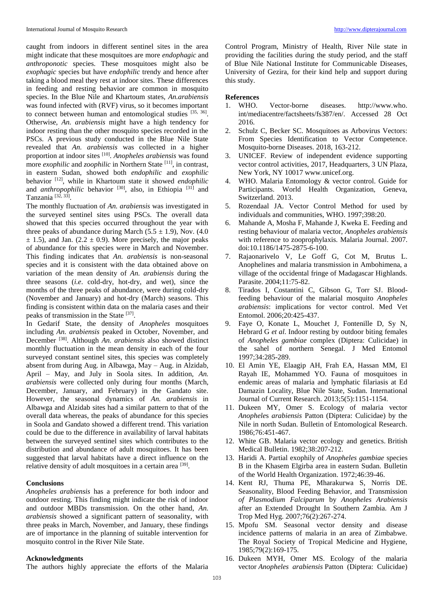caught from indoors in different sentinel sites in the area might indicate that these mosquitoes are more *endophagic* and *anthroponotic* species. These mosquitoes might also be *exophagic* species but have *endophilic* trendy and hence after taking a blood meal they rest at indoor sites. These differences in feeding and resting behavior are common in mosquito species. In the Blue Nile and Khartoum states, *An.arabiensis*  was found infected with (RVF) virus, so it becomes important to connect between human and entomological studies  $[35, 36]$ . Otherwise, *An. arabiensis* might have a high tendency for indoor resting than the other mosquito species recorded in the PSCs. A previous study conducted in the Blue Nile State revealed that *An. arabiensis* was collected in a higher proportion at indoor sites [10] . *Anopheles arabiensis* was found more *exophilic* and *zoophilic* in Northern State [11], in contrast, in eastern Sudan, showed both *endophilic* and *exophilic* behavior [12], while in Khartoum state it showed *endophilic* and *anthropophilic* behavior <sup>[30]</sup>, also, in Ethiopia <sup>[31]</sup> and Tanzania<sup>[32, 33]</sup>.

The monthly fluctuation of *An. arabiensis* was investigated in the surveyed sentinel sites using PSCs. The overall data showed that this species occurred throughout the year with three peaks of abundance during March  $(5.5 \pm 1.9)$ , Nov.  $(4.0)$  $\pm$  1.5), and Jan. (2.2  $\pm$  0.9). More precisely, the major peaks of abundance for this species were in March and November. This finding indicates that *An. arabiensis* is non-seasonal species and it is consistent with the data obtained above on variation of the mean density of *An. arabiensis* during the three seasons (*i.e*. cold-dry, hot-dry, and wet), since the months of the three peaks of abundance, were during cold-dry (November and January) and hot-dry (March) seasons. This finding is consistent within data on the malaria cases and their peaks of transmission in the State [37].

In Gedarif State, the density of *Anopheles* mosquitoes including *An. arabiensis* peaked in October, November, and December [38]. Although *An. arabiensis* also showed distinct monthly fluctuation in the mean density in each of the four surveyed constant sentinel sites, this species was completely absent from during Aug. in Albawga, May – Aug. in Alzidab, April – May, and July in Soola sites. In addition, *An. arabiensis* were collected only during four months (March, December, January, and February) in the Gandato site. However, the seasonal dynamics of *An. arabiensis* in Albawga and Alzidab sites had a similar pattern to that of the overall data whereas, the peaks of abundance for this species in Soola and Gandato showed a different trend. This variation could be due to the difference in availability of larval habitats between the surveyed sentinel sites which contributes to the distribution and abundance of adult mosquitoes. It has been suggested that larval habitats have a direct influence on the relative density of adult mosquitoes in a certain area [39].

## **Conclusions**

*Anopheles arabiensis* has a preference for both indoor and outdoor resting. This finding might indicate the risk of indoor and outdoor MBDs transmission. On the other hand, *An. arabiensis* showed a significant pattern of seasonality, with three peaks in March, November, and January, these findings are of importance in the planning of suitable intervention for mosquito control in the River Nile State.

#### **Acknowledgments**

The authors highly appreciate the efforts of the Malaria

Control Program, Ministry of Health, River Nile state in providing the facilities during the study period, and the staff of Blue Nile National Institute for Communicable Diseases, University of Gezira, for their kind help and support during this study.

#### **References**

- 1. WHO. Vector-borne diseases. http://www.who. int/mediacentre/factsheets/fs387/en/. Accessed 28 Oct 2016.
- 2. Schulz C, Becker SC. Mosquitoes as Arbovirus Vectors: From Species Identification to Vector Competence. Mosquito-borne Diseases. 2018, 163-212.
- 3. UNICEF. Review of independent evidence supporting vector control activities, 2017, Headquarters, 3 UN Plaza, New York, NY 10017 www.unicef.org.
- 4. WHO. Malaria Entomology & vector control. Guide for Participants. World Health Organization, Geneva, Switzerland. 2013.
- 5. Rozendaal JA. Vector Control Method for used by individuals and communities, WHO. 1997;398:20.
- 6. Mahande A, Mosha F, Mahande J, Kweka E. Feeding and resting behaviour of malaria vector, *Anopheles arabiensis* with reference to zooprophylaxis. Malaria Journal. 2007. doi:10.1186/1475-2875-6-100.
- 7. Rajaonarivelo V, Le Goff G, Cot M, Brutus L. Anophelines and malaria transmission in Ambohimena, a village of the occidental fringe of Madagascar Highlands. Parasite. 2004;11:75-82.
- 8. Tirados I, Costantini C, Gibson G, Torr SJ. Bloodfeeding behaviour of the malarial mosquito *Anopheles arabiensis*: implications for vector control. Med Vet Entomol. 2006;20:425-437.
- 9. Faye O, Konate L, Mouchet J, Fontenille D, Sy N, Hebrard G *et al*. Indoor resting by outdoor biting females of *Anopheles gambiae* complex (Diptera: Culicidae) in the sahel of northern Senegal. J Med Entomol 1997;34:285-289.
- 10. El Amin YE, Elaagip AH, Frah EA, Hassan MM, El Rayah IE, Mohammed YO. Fauna of mosquitoes in endemic areas of malaria and lymphatic filariasis at Ed Damazin Locality, Blue Nile State, Sudan. International Journal of Current Research. 2013;5(5):1151-1154.
- 11. Dukeen MY, Omer S. Ecology of malaria vector *Anophele*s *arabiensis* Patton (Diptera: Culicidae) by the Nile in north Sudan. Bulletin of Entomological Research. 1986;76:451-467.
- 12. White GB. Malaria vector ecology and genetics. British Medical Bulletin. 1982;38:207-212.
- 13. Haridi A. Partial exophily of *Anopheles gambiae* species B in the Khasem Elgirba area in eastern Sudan. Bulletin of the World Health Organization. 1972;46:39-46.
- 14. Kent RJ, Thuma PE, Mharakurwa S, Norris DE. Seasonality, Blood Feeding Behavior, and Transmission *of Plasmodium Falciparum* by *Anopheles Arabiensis* after an Extended Drought In Southern Zambia. Am J Trop Med Hyg. 2007;76(2):267-274.
- 15. Mpofu SM. Seasonal vector density and disease incidence patterns of malaria in an area of Zimbabwe. The Royal Society of Tropical Medicine and Hygiene, 1985;79(2):169-175.
- 16. Dukeen MYH, Omer MS. Ecology of the malaria vector *Anopheles arabiensis* Patton (Diptera: Culicidae)